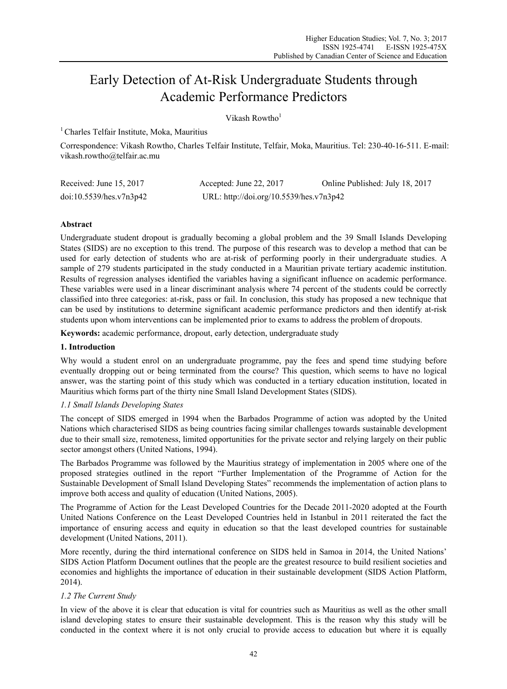# Early Detection of At-Risk Undergraduate Students through Academic Performance Predictors

# Vikash Rowtho $1$

1 Charles Telfair Institute, Moka, Mauritius

Correspondence: Vikash Rowtho, Charles Telfair Institute, Telfair, Moka, Mauritius. Tel: 230-40-16-511. E-mail: vikash.rowtho@telfair.ac.mu

| Received: June 15, 2017 | Accepted: June 22, $2017$               | Online Published: July 18, 2017 |
|-------------------------|-----------------------------------------|---------------------------------|
| doi:10.5539/hes.v7n3p42 | URL: http://doi.org/10.5539/hes.v7n3p42 |                                 |

# **Abstract**

Undergraduate student dropout is gradually becoming a global problem and the 39 Small Islands Developing States (SIDS) are no exception to this trend. The purpose of this research was to develop a method that can be used for early detection of students who are at-risk of performing poorly in their undergraduate studies. A sample of 279 students participated in the study conducted in a Mauritian private tertiary academic institution. Results of regression analyses identified the variables having a significant influence on academic performance. These variables were used in a linear discriminant analysis where 74 percent of the students could be correctly classified into three categories: at-risk, pass or fail. In conclusion, this study has proposed a new technique that can be used by institutions to determine significant academic performance predictors and then identify at-risk students upon whom interventions can be implemented prior to exams to address the problem of dropouts.

**Keywords:** academic performance, dropout, early detection, undergraduate study

# **1. Introduction**

Why would a student enrol on an undergraduate programme, pay the fees and spend time studying before eventually dropping out or being terminated from the course? This question, which seems to have no logical answer, was the starting point of this study which was conducted in a tertiary education institution, located in Mauritius which forms part of the thirty nine Small Island Development States (SIDS).

# *1.1 Small Islands Developing States*

The concept of SIDS emerged in 1994 when the Barbados Programme of action was adopted by the United Nations which characterised SIDS as being countries facing similar challenges towards sustainable development due to their small size, remoteness, limited opportunities for the private sector and relying largely on their public sector amongst others (United Nations, 1994).

The Barbados Programme was followed by the Mauritius strategy of implementation in 2005 where one of the proposed strategies outlined in the report "Further Implementation of the Programme of Action for the Sustainable Development of Small Island Developing States" recommends the implementation of action plans to improve both access and quality of education (United Nations, 2005).

The Programme of Action for the Least Developed Countries for the Decade 2011-2020 adopted at the Fourth United Nations Conference on the Least Developed Countries held in Istanbul in 2011 reiterated the fact the importance of ensuring access and equity in education so that the least developed countries for sustainable development (United Nations, 2011).

More recently, during the third international conference on SIDS held in Samoa in 2014, the United Nations' SIDS Action Platform Document outlines that the people are the greatest resource to build resilient societies and economies and highlights the importance of education in their sustainable development (SIDS Action Platform, 2014).

# *1.2 The Current Study*

In view of the above it is clear that education is vital for countries such as Mauritius as well as the other small island developing states to ensure their sustainable development. This is the reason why this study will be conducted in the context where it is not only crucial to provide access to education but where it is equally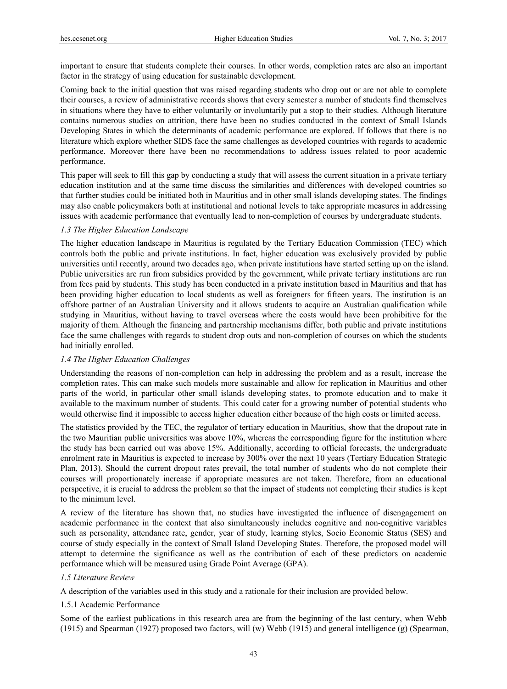important to ensure that students complete their courses. In other words, completion rates are also an important factor in the strategy of using education for sustainable development.

Coming back to the initial question that was raised regarding students who drop out or are not able to complete their courses, a review of administrative records shows that every semester a number of students find themselves in situations where they have to either voluntarily or involuntarily put a stop to their studies. Although literature contains numerous studies on attrition, there have been no studies conducted in the context of Small Islands Developing States in which the determinants of academic performance are explored. If follows that there is no literature which explore whether SIDS face the same challenges as developed countries with regards to academic performance. Moreover there have been no recommendations to address issues related to poor academic performance.

This paper will seek to fill this gap by conducting a study that will assess the current situation in a private tertiary education institution and at the same time discuss the similarities and differences with developed countries so that further studies could be initiated both in Mauritius and in other small islands developing states. The findings may also enable policymakers both at institutional and notional levels to take appropriate measures in addressing issues with academic performance that eventually lead to non-completion of courses by undergraduate students.

## *1.3 The Higher Education Landscape*

The higher education landscape in Mauritius is regulated by the Tertiary Education Commission (TEC) which controls both the public and private institutions. In fact, higher education was exclusively provided by public universities until recently, around two decades ago, when private institutions have started setting up on the island. Public universities are run from subsidies provided by the government, while private tertiary institutions are run from fees paid by students. This study has been conducted in a private institution based in Mauritius and that has been providing higher education to local students as well as foreigners for fifteen years. The institution is an offshore partner of an Australian University and it allows students to acquire an Australian qualification while studying in Mauritius, without having to travel overseas where the costs would have been prohibitive for the majority of them. Although the financing and partnership mechanisms differ, both public and private institutions face the same challenges with regards to student drop outs and non-completion of courses on which the students had initially enrolled.

# *1.4 The Higher Education Challenges*

Understanding the reasons of non-completion can help in addressing the problem and as a result, increase the completion rates. This can make such models more sustainable and allow for replication in Mauritius and other parts of the world, in particular other small islands developing states, to promote education and to make it available to the maximum number of students. This could cater for a growing number of potential students who would otherwise find it impossible to access higher education either because of the high costs or limited access.

The statistics provided by the TEC, the regulator of tertiary education in Mauritius, show that the dropout rate in the two Mauritian public universities was above 10%, whereas the corresponding figure for the institution where the study has been carried out was above 15%. Additionally, according to official forecasts, the undergraduate enrolment rate in Mauritius is expected to increase by 300% over the next 10 years (Tertiary Education Strategic Plan, 2013). Should the current dropout rates prevail, the total number of students who do not complete their courses will proportionately increase if appropriate measures are not taken. Therefore, from an educational perspective, it is crucial to address the problem so that the impact of students not completing their studies is kept to the minimum level.

A review of the literature has shown that, no studies have investigated the influence of disengagement on academic performance in the context that also simultaneously includes cognitive and non-cognitive variables such as personality, attendance rate, gender, year of study, learning styles, Socio Economic Status (SES) and course of study especially in the context of Small Island Developing States. Therefore, the proposed model will attempt to determine the significance as well as the contribution of each of these predictors on academic performance which will be measured using Grade Point Average (GPA).

# *1.5 Literature Review*

A description of the variables used in this study and a rationale for their inclusion are provided below.

#### 1.5.1 Academic Performance

Some of the earliest publications in this research area are from the beginning of the last century, when Webb (1915) and Spearman (1927) proposed two factors, will (w) Webb (1915) and general intelligence (g) (Spearman,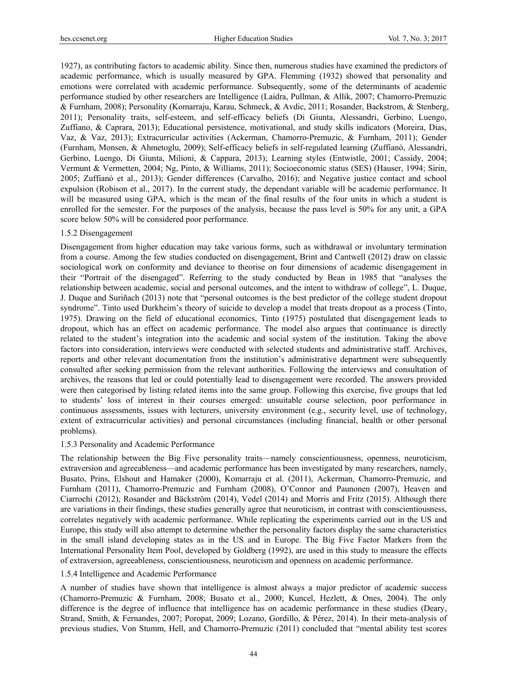1927), as contributing factors to academic ability. Since then, numerous studies have examined the predictors of academic performance, which is usually measured by GPA. Flemming (1932) showed that personality and emotions were correlated with academic performance. Subsequently, some of the determinants of academic performance studied by other researchers are Intelligence (Laidra, Pullman, & Allik, 2007; Chamorro-Premuzic & Furnham, 2008); Personality (Komarraju, Karau, Schmeck, & Avdic, 2011; Rosander, Backstrom, & Stenberg, 2011); Personality traits, self-esteem, and self-efficacy beliefs (Di Giunta, Alessandri, Gerbino, Luengo, Zuffiano, & Caprara, 2013); Educational persistence, motivational, and study skills indicators (Moreira, Dias, Vaz, & Vaz, 2013); Extracurricular activities (Ackerman, Chamorro-Premuzic, & Furnham, 2011); Gender (Furnham, Monsen, & Ahmetoglu, 2009); Self-efficacy beliefs in self-regulated learning (Zuffianò, Alessandri, Gerbino, Luengo, Di Giunta, Milioni, & Cappara, 2013); Learning styles (Entwistle, 2001; Cassidy, 2004; Vermunt & Vermetten, 2004; Ng, Pinto, & Williams, 2011); Socioeconomic status (SES) (Hauser, 1994; Sirin, 2005; Zuffianò et al., 2013); Gender differences (Carvalho, 2016); and Negative justice contact and school expulsion (Robison et al., 2017). In the current study, the dependant variable will be academic performance. It will be measured using GPA, which is the mean of the final results of the four units in which a student is enrolled for the semester. For the purposes of the analysis, because the pass level is 50% for any unit, a GPA score below 50% will be considered poor performance.

#### 1.5.2 Disengagement

Disengagement from higher education may take various forms, such as withdrawal or involuntary termination from a course. Among the few studies conducted on disengagement, Brint and Cantwell (2012) draw on classic sociological work on conformity and deviance to theorise on four dimensions of academic disengagement in their "Portrait of the disengaged". Referring to the study conducted by Bean in 1985 that "analyses the relationship between academic, social and personal outcomes, and the intent to withdraw of college", L. Duque, J. Duque and Suriñach (2013) note that "personal outcomes is the best predictor of the college student dropout syndrome". Tinto used Durkheim's theory of suicide to develop a model that treats dropout as a process (Tinto, 1975). Drawing on the field of educational economics, Tinto (1975) postulated that disengagement leads to dropout, which has an effect on academic performance. The model also argues that continuance is directly related to the student's integration into the academic and social system of the institution. Taking the above factors into consideration, interviews were conducted with selected students and administrative staff. Archives, reports and other relevant documentation from the institution's administrative department were subsequently consulted after seeking permission from the relevant authorities. Following the interviews and consultation of archives, the reasons that led or could potentially lead to disengagement were recorded. The answers provided were then categorised by listing related items into the same group. Following this exercise, five groups that led to students' loss of interest in their courses emerged: unsuitable course selection, poor performance in continuous assessments, issues with lecturers, university environment (e.g., security level, use of technology, extent of extracurricular activities) and personal circumstances (including financial, health or other personal problems).

#### 1.5.3 Personality and Academic Performance

The relationship between the Big Five personality traits—namely conscientiousness, openness, neuroticism, extraversion and agreeableness—and academic performance has been investigated by many researchers, namely, Busato, Prins, Elshout and Hamaker (2000), Komarraju et al. (2011), Ackerman, Chamorro-Premuzic, and Furnham (2011), Chamorro-Premuzic and Furnham (2008), O'Connor and Paunonen (2007), Heaven and Ciarrochi (2012), Rosander and Bäckström (2014), Vedel (2014) and Morris and Fritz (2015). Although there are variations in their findings, these studies generally agree that neuroticism, in contrast with conscientiousness, correlates negatively with academic performance. While replicating the experiments carried out in the US and Europe, this study will also attempt to determine whether the personality factors display the same characteristics in the small island developing states as in the US and in Europe. The Big Five Factor Markers from the International Personality Item Pool, developed by Goldberg (1992), are used in this study to measure the effects of extraversion, agreeableness, conscientiousness, neuroticism and openness on academic performance.

# 1.5.4 Intelligence and Academic Performance

A number of studies have shown that intelligence is almost always a major predictor of academic success (Chamorro-Premuzic & Furnham, 2008; Busato et al., 2000; Kuncel, Hezlett, & Ones, 2004). The only difference is the degree of influence that intelligence has on academic performance in these studies (Deary, Strand, Smith, & Fernandes, 2007; Poropat, 2009; Lozano, Gordillo, & Pérez, 2014). In their meta-analysis of previous studies, Von Stumm, Hell, and Chamorro-Premuzic (2011) concluded that "mental ability test scores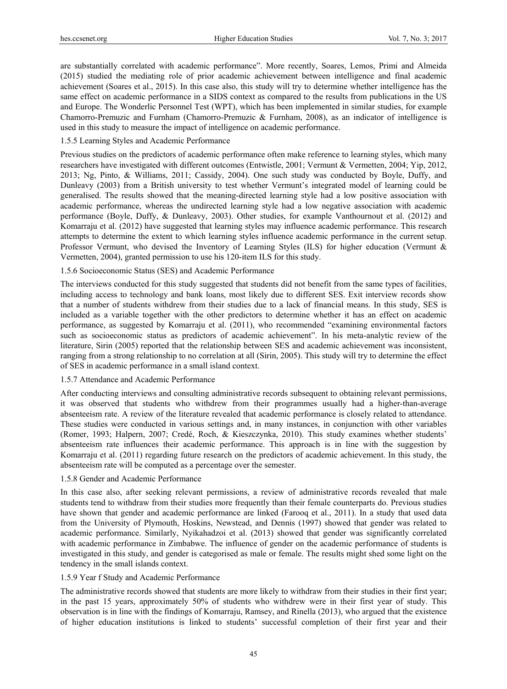are substantially correlated with academic performance". More recently, Soares, Lemos, Primi and Almeida (2015) studied the mediating role of prior academic achievement between intelligence and final academic achievement (Soares et al., 2015). In this case also, this study will try to determine whether intelligence has the same effect on academic performance in a SIDS context as compared to the results from publications in the US and Europe. The Wonderlic Personnel Test (WPT), which has been implemented in similar studies, for example Chamorro-Premuzic and Furnham (Chamorro-Premuzic & Furnham, 2008), as an indicator of intelligence is used in this study to measure the impact of intelligence on academic performance.

#### 1.5.5 Learning Styles and Academic Performance

Previous studies on the predictors of academic performance often make reference to learning styles, which many researchers have investigated with different outcomes (Entwistle, 2001; Vermunt & Vermetten, 2004; Yip, 2012, 2013; Ng, Pinto, & Williams, 2011; Cassidy, 2004). One such study was conducted by Boyle, Duffy, and Dunleavy (2003) from a British university to test whether Vermunt's integrated model of learning could be generalised. The results showed that the meaning-directed learning style had a low positive association with academic performance, whereas the undirected learning style had a low negative association with academic performance (Boyle, Duffy, & Dunleavy, 2003). Other studies, for example Vanthournout et al. (2012) and Komarraju et al. (2012) have suggested that learning styles may influence academic performance. This research attempts to determine the extent to which learning styles influence academic performance in the current setup. Professor Vermunt, who devised the Inventory of Learning Styles (ILS) for higher education (Vermunt & Vermetten, 2004), granted permission to use his 120-item ILS for this study.

#### 1.5.6 Socioeconomic Status (SES) and Academic Performance

The interviews conducted for this study suggested that students did not benefit from the same types of facilities, including access to technology and bank loans, most likely due to different SES. Exit interview records show that a number of students withdrew from their studies due to a lack of financial means. In this study, SES is included as a variable together with the other predictors to determine whether it has an effect on academic performance, as suggested by Komarraju et al. (2011), who recommended "examining environmental factors such as socioeconomic status as predictors of academic achievement". In his meta-analytic review of the literature, Sirin (2005) reported that the relationship between SES and academic achievement was inconsistent, ranging from a strong relationship to no correlation at all (Sirin, 2005). This study will try to determine the effect of SES in academic performance in a small island context.

#### 1.5.7 Attendance and Academic Performance

After conducting interviews and consulting administrative records subsequent to obtaining relevant permissions, it was observed that students who withdrew from their programmes usually had a higher-than-average absenteeism rate. A review of the literature revealed that academic performance is closely related to attendance. These studies were conducted in various settings and, in many instances, in conjunction with other variables (Romer, 1993; Halpern, 2007; Credé, Roch, & Kieszczynka, 2010). This study examines whether students' absenteeism rate influences their academic performance. This approach is in line with the suggestion by Komarraju et al. (2011) regarding future research on the predictors of academic achievement. In this study, the absenteeism rate will be computed as a percentage over the semester.

# 1.5.8 Gender and Academic Performance

In this case also, after seeking relevant permissions, a review of administrative records revealed that male students tend to withdraw from their studies more frequently than their female counterparts do. Previous studies have shown that gender and academic performance are linked (Farooq et al., 2011). In a study that used data from the University of Plymouth, Hoskins, Newstead, and Dennis (1997) showed that gender was related to academic performance. Similarly, Nyikahadzoi et al. (2013) showed that gender was significantly correlated with academic performance in Zimbabwe. The influence of gender on the academic performance of students is investigated in this study, and gender is categorised as male or female. The results might shed some light on the tendency in the small islands context.

## 1.5.9 Year f Study and Academic Performance

The administrative records showed that students are more likely to withdraw from their studies in their first year; in the past 15 years, approximately 50% of students who withdrew were in their first year of study. This observation is in line with the findings of Komarraju, Ramsey, and Rinella (2013), who argued that the existence of higher education institutions is linked to students' successful completion of their first year and their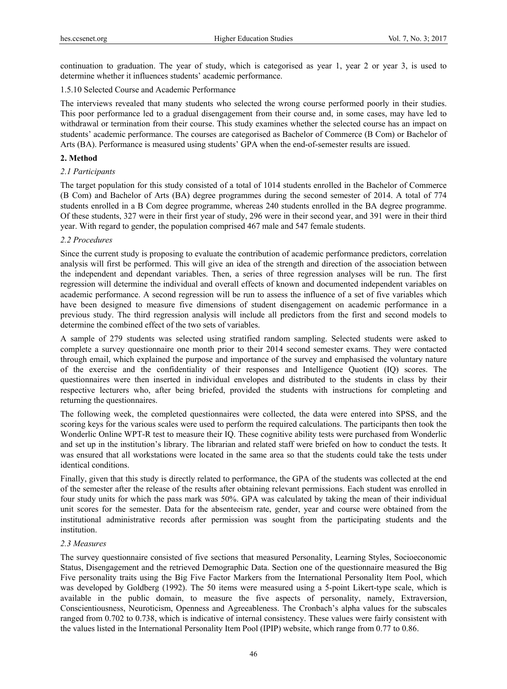continuation to graduation. The year of study, which is categorised as year 1, year 2 or year 3, is used to determine whether it influences students' academic performance.

# 1.5.10 Selected Course and Academic Performance

The interviews revealed that many students who selected the wrong course performed poorly in their studies. This poor performance led to a gradual disengagement from their course and, in some cases, may have led to withdrawal or termination from their course. This study examines whether the selected course has an impact on students' academic performance. The courses are categorised as Bachelor of Commerce (B Com) or Bachelor of Arts (BA). Performance is measured using students' GPA when the end-of-semester results are issued.

## **2. Method**

## *2.1 Participants*

The target population for this study consisted of a total of 1014 students enrolled in the Bachelor of Commerce (B Com) and Bachelor of Arts (BA) degree programmes during the second semester of 2014. A total of 774 students enrolled in a B Com degree programme, whereas 240 students enrolled in the BA degree programme. Of these students, 327 were in their first year of study, 296 were in their second year, and 391 were in their third year. With regard to gender, the population comprised 467 male and 547 female students.

## *2.2 Procedures*

Since the current study is proposing to evaluate the contribution of academic performance predictors, correlation analysis will first be performed. This will give an idea of the strength and direction of the association between the independent and dependant variables. Then, a series of three regression analyses will be run. The first regression will determine the individual and overall effects of known and documented independent variables on academic performance. A second regression will be run to assess the influence of a set of five variables which have been designed to measure five dimensions of student disengagement on academic performance in a previous study. The third regression analysis will include all predictors from the first and second models to determine the combined effect of the two sets of variables.

A sample of 279 students was selected using stratified random sampling. Selected students were asked to complete a survey questionnaire one month prior to their 2014 second semester exams. They were contacted through email, which explained the purpose and importance of the survey and emphasised the voluntary nature of the exercise and the confidentiality of their responses and Intelligence Quotient (IQ) scores. The questionnaires were then inserted in individual envelopes and distributed to the students in class by their respective lecturers who, after being briefed, provided the students with instructions for completing and returning the questionnaires.

The following week, the completed questionnaires were collected, the data were entered into SPSS, and the scoring keys for the various scales were used to perform the required calculations. The participants then took the Wonderlic Online WPT-R test to measure their IQ. These cognitive ability tests were purchased from Wonderlic and set up in the institution's library. The librarian and related staff were briefed on how to conduct the tests. It was ensured that all workstations were located in the same area so that the students could take the tests under identical conditions.

Finally, given that this study is directly related to performance, the GPA of the students was collected at the end of the semester after the release of the results after obtaining relevant permissions. Each student was enrolled in four study units for which the pass mark was 50%. GPA was calculated by taking the mean of their individual unit scores for the semester. Data for the absenteeism rate, gender, year and course were obtained from the institutional administrative records after permission was sought from the participating students and the institution.

#### *2.3 Measures*

The survey questionnaire consisted of five sections that measured Personality, Learning Styles, Socioeconomic Status, Disengagement and the retrieved Demographic Data. Section one of the questionnaire measured the Big Five personality traits using the Big Five Factor Markers from the International Personality Item Pool, which was developed by Goldberg (1992). The 50 items were measured using a 5-point Likert-type scale, which is available in the public domain, to measure the five aspects of personality, namely, Extraversion, Conscientiousness, Neuroticism, Openness and Agreeableness. The Cronbach's alpha values for the subscales ranged from 0.702 to 0.738, which is indicative of internal consistency. These values were fairly consistent with the values listed in the International Personality Item Pool (IPIP) website, which range from 0.77 to 0.86.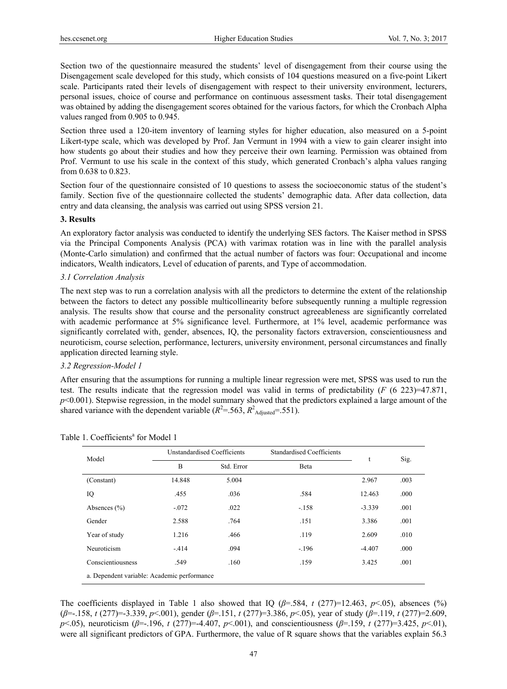Section two of the questionnaire measured the students' level of disengagement from their course using the Disengagement scale developed for this study, which consists of 104 questions measured on a five-point Likert scale. Participants rated their levels of disengagement with respect to their university environment, lecturers, personal issues, choice of course and performance on continuous assessment tasks. Their total disengagement was obtained by adding the disengagement scores obtained for the various factors, for which the Cronbach Alpha values ranged from 0.905 to 0.945.

Section three used a 120-item inventory of learning styles for higher education, also measured on a 5-point Likert-type scale, which was developed by Prof. Jan Vermunt in 1994 with a view to gain clearer insight into how students go about their studies and how they perceive their own learning. Permission was obtained from Prof. Vermunt to use his scale in the context of this study, which generated Cronbach's alpha values ranging from 0.638 to 0.823.

Section four of the questionnaire consisted of 10 questions to assess the socioeconomic status of the student's family. Section five of the questionnaire collected the students' demographic data. After data collection, data entry and data cleansing, the analysis was carried out using SPSS version 21.

## **3. Results**

An exploratory factor analysis was conducted to identify the underlying SES factors. The Kaiser method in SPSS via the Principal Components Analysis (PCA) with varimax rotation was in line with the parallel analysis (Monte-Carlo simulation) and confirmed that the actual number of factors was four: Occupational and income indicators, Wealth indicators, Level of education of parents, and Type of accommodation.

## *3.1 Correlation Analysis*

The next step was to run a correlation analysis with all the predictors to determine the extent of the relationship between the factors to detect any possible multicollinearity before subsequently running a multiple regression analysis. The results show that course and the personality construct agreeableness are significantly correlated with academic performance at 5% significance level. Furthermore, at 1% level, academic performance was significantly correlated with, gender, absences, IQ, the personality factors extraversion, conscientiousness and neuroticism, course selection, performance, lecturers, university environment, personal circumstances and finally application directed learning style.

#### *3.2 Regression-Model 1*

After ensuring that the assumptions for running a multiple linear regression were met, SPSS was used to run the test. The results indicate that the regression model was valid in terms of predictability (*F* (6 223)=47.871, *p*<0.001). Stepwise regression, in the model summary showed that the predictors explained a large amount of the shared variance with the dependent variable ( $R^2$ =.563,  $R^2$ <sub>Adjusted</sub>=.551).

| Model                                       |         | Unstandardised Coefficients | <b>Standardised Coefficients</b> |          |      |  |
|---------------------------------------------|---------|-----------------------------|----------------------------------|----------|------|--|
|                                             | B       | Std. Error                  | Beta                             |          | Sig. |  |
| (Constant)                                  | 14.848  | 5.004                       |                                  | 2.967    | .003 |  |
| IQ                                          | .455    | .036                        | .584                             | 12.463   | .000 |  |
| Absences $(\% )$                            | $-.072$ | .022                        | $-.158$                          | $-3.339$ | .001 |  |
| Gender                                      | 2.588   | .764                        | .151                             | 3.386    | .001 |  |
| Year of study                               | 1.216   | .466                        | .119                             | 2.609    | .010 |  |
| Neuroticism                                 | $-414$  | .094                        | $-.196$                          | $-4.407$ | .000 |  |
| Conscientiousness                           | .549    | .160                        | .159                             | 3.425    | .001 |  |
| a. Dependent variable: Academic performance |         |                             |                                  |          |      |  |

Table 1. Coefficients<sup>a</sup> for Model 1

The coefficients displayed in Table 1 also showed that IQ  $(\beta = .584, t (277)=12.463, p<.05)$ , absences (%) (*β*=-.158, *t* (277)=-3.339, *p*<.001), gender (*β*=.151, *t* (277)=3.386, *p*<.05), year of study (*β*=.119, *t* (277)=2.609, *p*<.05), neuroticism (*β*=-.196, *t* (277)=-4.407, *p*<.001), and conscientiousness (*β*=.159, *t* (277)=3.425, *p*<.01), were all significant predictors of GPA. Furthermore, the value of R square shows that the variables explain 56.3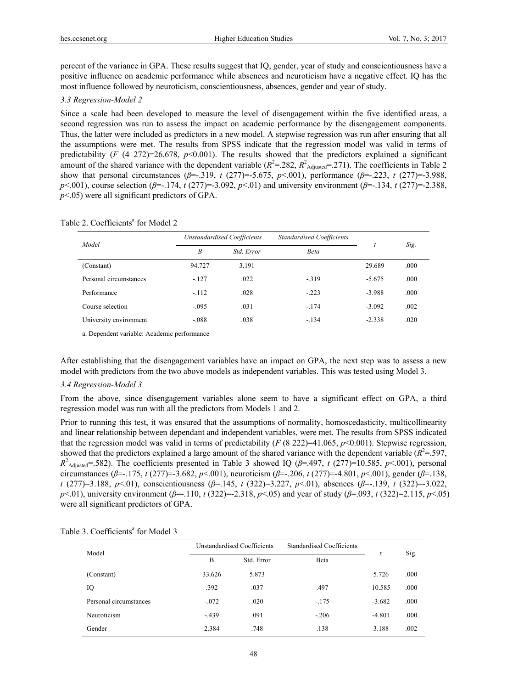percent of the variance in GPA. These results suggest that IQ, gender, year of study and conscientiousness have a positive influence on academic performance while absences and neuroticism have a negative effect. IQ has the most influence followed by neuroticism, conscientiousness, absences, gender and year of study.

# *3.3 Regression-Model 2*

Since a scale had been developed to measure the level of disengagement within the five identified areas, a second regression was run to assess the impact on academic performance by the disengagement components. Thus, the latter were included as predictors in a new model. A stepwise regression was run after ensuring that all the assumptions were met. The results from SPSS indicate that the regression model was valid in terms of predictability (*F* (4 272)=26.678,  $p$ <0.001). The results showed that the predictors explained a significant amount of the shared variance with the dependent variable  $(R^2 = .282, R^2_{\text{adjusted}} = .271)$ . The coefficients in Table 2 show that personal circumstances ( $\beta$ =-.319, *t* (277)=-5.675,  $p$ <.001), performance ( $\beta$ =-.223, *t* (277)=-3.988, *p*<.001), course selection (*β*=-.174, *t* (277)=-3.092, *p*<.01) and university environment (*β*=-.134, *t* (277)=-2.388, *p*<.05) were all significant predictors of GPA.

| Model                                       | <b>Unstandardised Coefficients</b> |            | <b>Standardised Coefficients</b> |          |      |  |
|---------------------------------------------|------------------------------------|------------|----------------------------------|----------|------|--|
|                                             | B                                  | Std. Error | <b>Beta</b>                      |          | Sig. |  |
| (Constant)                                  | 94.727                             | 3.191      |                                  | 29.689   | .000 |  |
| Personal circumstances                      | $-127$                             | .022       | $-319$                           | $-5.675$ | .000 |  |
| Performance                                 | $-112$                             | .028       | $-.223$                          | $-3.988$ | .000 |  |
| Course selection                            | $-0.095$                           | .031       | $-174$                           | $-3.092$ | .002 |  |
| University environment                      | $-.088$                            | .038       | $-.134$                          | $-2.338$ | .020 |  |
| a. Dependent variable: Academic performance |                                    |            |                                  |          |      |  |

Table 2. Coefficients<sup>a</sup> for Model 2

After establishing that the disengagement variables have an impact on GPA, the next step was to assess a new model with predictors from the two above models as independent variables. This was tested using Model 3.

#### *3.4 Regression-Model 3*

From the above, since disengagement variables alone seem to have a significant effect on GPA, a third regression model was run with all the predictors from Models 1 and 2.

Prior to running this test, it was ensured that the assumptions of normality, homoscedasticity, multicollinearity and linear relationship between dependant and independent variables, were met. The results from SPSS indicated that the regression model was valid in terms of predictability ( $F$  (8 222)=41.065,  $p$ <0.001). Stepwise regression, showed that the predictors explained a large amount of the shared variance with the dependent variable  $(R^2 = 597,$  $R^2$ <sub>Adjusted</sub>=.582). The coefficients presented in Table 3 showed IQ ( $\beta$ =.497, *t* (277)=10.585, *p*<.001), personal circumstances (*β*=-.175, *t* (277)=-3.682, *p*<.001), neuroticism (*β*=-.206, *t* (277)=-4.801, *p*<.001), gender (*β*=.138, *t* (277)=3.188, *p*<.01), conscientiousness (*β*=.145, *t* (322)=3.227, *p*<.01), absences (*β*=-.139, *t* (322)=-3.022, *p*<.01), university environment (*β*=-.110, *t* (322)=-2.318, *p*<.05) and year of study (*β*=.093, *t* (322)=2.115, *p*<.05) were all significant predictors of GPA.

| Model                  | Unstandardised Coefficients |            | <b>Standardised Coefficients</b> |          |      |
|------------------------|-----------------------------|------------|----------------------------------|----------|------|
|                        | B                           | Std. Error | Beta                             |          | Sig. |
| (Constant)             | 33.626                      | 5.873      |                                  | 5.726    | .000 |
| IQ                     | .392                        | .037       | .497                             | 10.585   | .000 |
| Personal circumstances | $-.072$                     | .020       | $-.175$                          | $-3.682$ | .000 |
| Neuroticism            | $-439$                      | .091       | $-.206$                          | $-4.801$ | .000 |
| Gender                 | 2.384                       | .748       | .138                             | 3.188    | .002 |

Table 3. Coefficients<sup>a</sup> for Model 3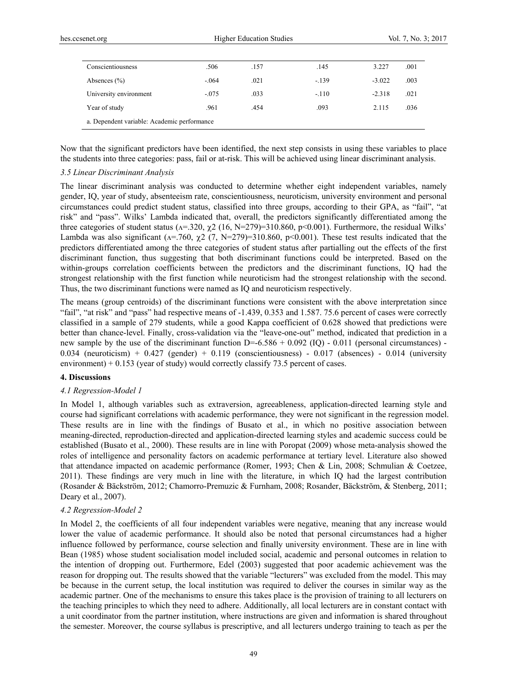| Conscientiousness                           | .506    | .157 | .145    | 3.227    | .001 |
|---------------------------------------------|---------|------|---------|----------|------|
| Absences $(\% )$                            | $-.064$ | .021 | $-139$  | $-3.022$ | .003 |
| University environment                      | $-.075$ | .033 | $-.110$ | $-2.318$ | .021 |
| Year of study                               | .961    | .454 | .093    | 2.115    | .036 |
| a. Dependent variable: Academic performance |         |      |         |          |      |

Now that the significant predictors have been identified, the next step consists in using these variables to place the students into three categories: pass, fail or at-risk. This will be achieved using linear discriminant analysis.

#### *3.5 Linear Discriminant Analysis*

The linear discriminant analysis was conducted to determine whether eight independent variables, namely gender, IQ, year of study, absenteeism rate, conscientiousness, neuroticism, university environment and personal circumstances could predict student status, classified into three groups, according to their GPA, as "fail", "at risk" and "pass". Wilks' Lambda indicated that, overall, the predictors significantly differentiated among the three categories of student status ( $\lambda$ =.320,  $\chi$ 2 (16, N=279)=310.860, p<0.001). Furthermore, the residual Wilks' Lambda was also significant ( $\alpha$ =.760,  $\chi$ 2 (7, N=279)=310.860, p<0.001). These test results indicated that the predictors differentiated among the three categories of student status after partialling out the effects of the first discriminant function, thus suggesting that both discriminant functions could be interpreted. Based on the within-groups correlation coefficients between the predictors and the discriminant functions, IQ had the strongest relationship with the first function while neuroticism had the strongest relationship with the second. Thus, the two discriminant functions were named as IQ and neuroticism respectively.

The means (group centroids) of the discriminant functions were consistent with the above interpretation since "fail", "at risk" and "pass" had respective means of -1.439, 0.353 and 1.587. 75.6 percent of cases were correctly classified in a sample of 279 students, while a good Kappa coefficient of 0.628 showed that predictions were better than chance-level. Finally, cross-validation via the "leave-one-out" method, indicated that prediction in a new sample by the use of the discriminant function  $D=-6.586 + 0.092$  (IQ) - 0.011 (personal circumstances) - $0.034$  (neuroticism) +  $0.427$  (gender) +  $0.119$  (conscientiousness) -  $0.017$  (absences) -  $0.014$  (university environment)  $+$  0.153 (year of study) would correctly classify 73.5 percent of cases.

# **4. Discussions**

# *4.1 Regression-Model 1*

In Model 1, although variables such as extraversion, agreeableness, application-directed learning style and course had significant correlations with academic performance, they were not significant in the regression model. These results are in line with the findings of Busato et al., in which no positive association between meaning-directed, reproduction-directed and application-directed learning styles and academic success could be established (Busato et al., 2000). These results are in line with Poropat (2009) whose meta-analysis showed the roles of intelligence and personality factors on academic performance at tertiary level. Literature also showed that attendance impacted on academic performance (Romer, 1993; Chen & Lin, 2008; Schmulian & Coetzee, 2011). These findings are very much in line with the literature, in which IQ had the largest contribution (Rosander & Bäckström, 2012; Chamorro-Premuzic & Furnham, 2008; Rosander, Bäckström, & Stenberg, 2011; Deary et al., 2007).

#### *4.2 Regression-Model 2*

In Model 2, the coefficients of all four independent variables were negative, meaning that any increase would lower the value of academic performance. It should also be noted that personal circumstances had a higher influence followed by performance, course selection and finally university environment. These are in line with Bean (1985) whose student socialisation model included social, academic and personal outcomes in relation to the intention of dropping out. Furthermore, Edel (2003) suggested that poor academic achievement was the reason for dropping out. The results showed that the variable "lecturers" was excluded from the model. This may be because in the current setup, the local institution was required to deliver the courses in similar way as the academic partner. One of the mechanisms to ensure this takes place is the provision of training to all lecturers on the teaching principles to which they need to adhere. Additionally, all local lecturers are in constant contact with a unit coordinator from the partner institution, where instructions are given and information is shared throughout the semester. Moreover, the course syllabus is prescriptive, and all lecturers undergo training to teach as per the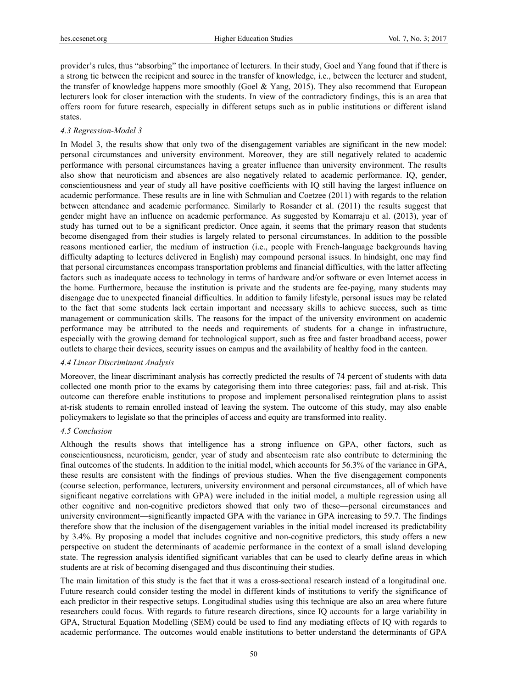provider's rules, thus "absorbing" the importance of lecturers. In their study, Goel and Yang found that if there is a strong tie between the recipient and source in the transfer of knowledge, i.e., between the lecturer and student, the transfer of knowledge happens more smoothly (Goel & Yang, 2015). They also recommend that European lecturers look for closer interaction with the students. In view of the contradictory findings, this is an area that offers room for future research, especially in different setups such as in public institutions or different island states.

#### *4.3 Regression-Model 3*

In Model 3, the results show that only two of the disengagement variables are significant in the new model: personal circumstances and university environment. Moreover, they are still negatively related to academic performance with personal circumstances having a greater influence than university environment. The results also show that neuroticism and absences are also negatively related to academic performance. IQ, gender, conscientiousness and year of study all have positive coefficients with IQ still having the largest influence on academic performance. These results are in line with Schmulian and Coetzee (2011) with regards to the relation between attendance and academic performance. Similarly to Rosander et al. (2011) the results suggest that gender might have an influence on academic performance. As suggested by Komarraju et al. (2013), year of study has turned out to be a significant predictor. Once again, it seems that the primary reason that students become disengaged from their studies is largely related to personal circumstances. In addition to the possible reasons mentioned earlier, the medium of instruction (i.e., people with French-language backgrounds having difficulty adapting to lectures delivered in English) may compound personal issues. In hindsight, one may find that personal circumstances encompass transportation problems and financial difficulties, with the latter affecting factors such as inadequate access to technology in terms of hardware and/or software or even Internet access in the home. Furthermore, because the institution is private and the students are fee-paying, many students may disengage due to unexpected financial difficulties. In addition to family lifestyle, personal issues may be related to the fact that some students lack certain important and necessary skills to achieve success, such as time management or communication skills. The reasons for the impact of the university environment on academic performance may be attributed to the needs and requirements of students for a change in infrastructure, especially with the growing demand for technological support, such as free and faster broadband access, power outlets to charge their devices, security issues on campus and the availability of healthy food in the canteen.

## *4.4 Linear Discriminant Analysis*

Moreover, the linear discriminant analysis has correctly predicted the results of 74 percent of students with data collected one month prior to the exams by categorising them into three categories: pass, fail and at-risk. This outcome can therefore enable institutions to propose and implement personalised reintegration plans to assist at-risk students to remain enrolled instead of leaving the system. The outcome of this study, may also enable policymakers to legislate so that the principles of access and equity are transformed into reality.

#### *4.5 Conclusion*

Although the results shows that intelligence has a strong influence on GPA, other factors, such as conscientiousness, neuroticism, gender, year of study and absenteeism rate also contribute to determining the final outcomes of the students. In addition to the initial model, which accounts for 56.3% of the variance in GPA, these results are consistent with the findings of previous studies. When the five disengagement components (course selection, performance, lecturers, university environment and personal circumstances, all of which have significant negative correlations with GPA) were included in the initial model, a multiple regression using all other cognitive and non-cognitive predictors showed that only two of these—personal circumstances and university environment—significantly impacted GPA with the variance in GPA increasing to 59.7. The findings therefore show that the inclusion of the disengagement variables in the initial model increased its predictability by 3.4%. By proposing a model that includes cognitive and non-cognitive predictors, this study offers a new perspective on student the determinants of academic performance in the context of a small island developing state. The regression analysis identified significant variables that can be used to clearly define areas in which students are at risk of becoming disengaged and thus discontinuing their studies.

The main limitation of this study is the fact that it was a cross-sectional research instead of a longitudinal one. Future research could consider testing the model in different kinds of institutions to verify the significance of each predictor in their respective setups. Longitudinal studies using this technique are also an area where future researchers could focus. With regards to future research directions, since IQ accounts for a large variability in GPA, Structural Equation Modelling (SEM) could be used to find any mediating effects of IQ with regards to academic performance. The outcomes would enable institutions to better understand the determinants of GPA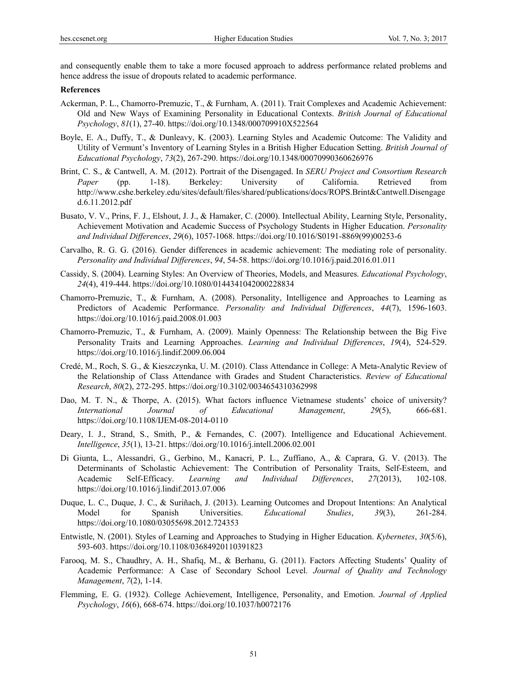and consequently enable them to take a more focused approach to address performance related problems and hence address the issue of dropouts related to academic performance.

#### **References**

- Ackerman, P. L., Chamorro-Premuzic, T., & Furnham, A. (2011). Trait Complexes and Academic Achievement: Old and New Ways of Examining Personality in Educational Contexts. *British Journal of Educational Psychology*, *81*(1), 27-40. https://doi.org/10.1348/000709910X522564
- Boyle, E. A., Duffy, T., & Dunleavy, K. (2003). Learning Styles and Academic Outcome: The Validity and Utility of Vermunt's Inventory of Learning Styles in a British Higher Education Setting. *British Journal of Educational Psychology*, *73*(2), 267-290. https://doi.org/10.1348/00070990360626976
- Brint, C. S., & Cantwell, A. M. (2012). Portrait of the Disengaged. In *SERU Project and Consortium Research Paper* (pp. 1-18). Berkeley: University of California. Retrieved from http://www.cshe.berkeley.edu/sites/default/files/shared/publications/docs/ROPS.Brint&Cantwell.Disengage d.6.11.2012.pdf
- Busato, V. V., Prins, F. J., Elshout, J. J., & Hamaker, C. (2000). Intellectual Ability, Learning Style, Personality, Achievement Motivation and Academic Success of Psychology Students in Higher Education. *Personality and Individual Differences*, *29*(6), 1057-1068. https://doi.org/10.1016/S0191-8869(99)00253-6
- Carvalho, R. G. G. (2016). Gender differences in academic achievement: The mediating role of personality. *Personality and Individual Differences*, *94*, 54-58. https://doi.org/10.1016/j.paid.2016.01.011
- Cassidy, S. (2004). Learning Styles: An Overview of Theories, Models, and Measures. *Educational Psychology*, *24*(4), 419-444. https://doi.org/10.1080/0144341042000228834
- Chamorro-Premuzic, T., & Furnham, A. (2008). Personality, Intelligence and Approaches to Learning as Predictors of Academic Performance. *Personality and Individual Differences*, *44*(7), 1596-1603. https://doi.org/10.1016/j.paid.2008.01.003
- Chamorro-Premuzic, T., & Furnham, A. (2009). Mainly Openness: The Relationship between the Big Five Personality Traits and Learning Approaches. *Learning and Individual Differences*, *19*(4), 524-529. https://doi.org/10.1016/j.lindif.2009.06.004
- Credé, M., Roch, S. G., & Kieszczynka, U. M. (2010). Class Attendance in College: A Meta-Analytic Review of the Relationship of Class Attendance with Grades and Student Characteristics. *Review of Educational Research*, *80*(2), 272-295. https://doi.org/10.3102/0034654310362998
- Dao, M. T. N., & Thorpe, A. (2015). What factors influence Vietnamese students' choice of university? *International Journal of Educational Management*, *29*(5), 666-681. https://doi.org/10.1108/IJEM-08-2014-0110
- Deary, I. J., Strand, S., Smith, P., & Fernandes, C. (2007). Intelligence and Educational Achievement. *Intelligence*, *35*(1), 13-21. https://doi.org/10.1016/j.intell.2006.02.001
- Di Giunta, L., Alessandri, G., Gerbino, M., Kanacri, P. L., Zuffiano, A., & Caprara, G. V. (2013). The Determinants of Scholastic Achievement: The Contribution of Personality Traits, Self-Esteem, and Academic Self-Efficacy. *Learning and Individual Differences*, *27*(2013), 102-108. https://doi.org/10.1016/j.lindif.2013.07.006
- Duque, L. C., Duque, J. C., & Suriñach, J. (2013). Learning Outcomes and Dropout Intentions: An Analytical Model for Spanish Universities. *Educational Studies*, *39*(3), 261-284. https://doi.org/10.1080/03055698.2012.724353
- Entwistle, N. (2001). Styles of Learning and Approaches to Studying in Higher Education. *Kybernetes*, *30*(5/6), 593-603. https://doi.org/10.1108/03684920110391823
- Farooq, M. S., Chaudhry, A. H., Shafiq, M., & Berhanu, G. (2011). Factors Affecting Students' Quality of Academic Performance: A Case of Secondary School Level. *Journal of Quality and Technology Management*, *7*(2), 1-14.
- Flemming, E. G. (1932). College Achievement, Intelligence, Personality, and Emotion. *Journal of Applied Psychology*, *16*(6), 668-674. https://doi.org/10.1037/h0072176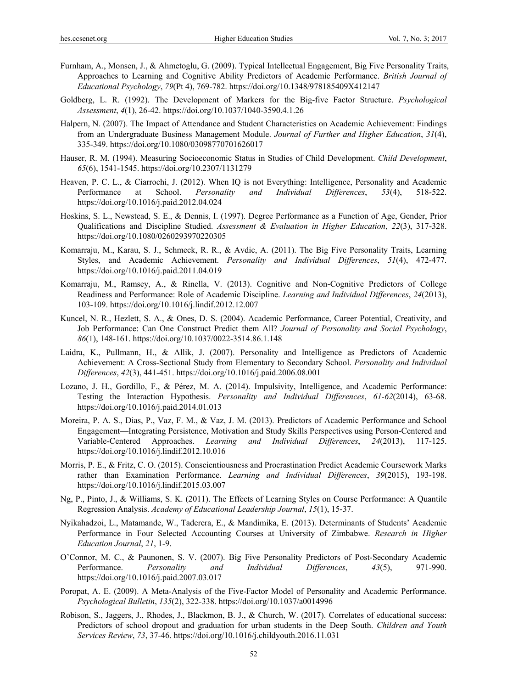- Furnham, A., Monsen, J., & Ahmetoglu, G. (2009). Typical Intellectual Engagement, Big Five Personality Traits, Approaches to Learning and Cognitive Ability Predictors of Academic Performance. *British Journal of Educational Psychology*, *79*(Pt 4), 769-782. https://doi.org/10.1348/978185409X412147
- Goldberg, L. R. (1992). The Development of Markers for the Big-five Factor Structure. *Psychological Assessment*, *4*(1), 26-42. https://doi.org/10.1037/1040-3590.4.1.26
- Halpern, N. (2007). The Impact of Attendance and Student Characteristics on Academic Achievement: Findings from an Undergraduate Business Management Module. *Journal of Further and Higher Education*, *31*(4), 335-349. https://doi.org/10.1080/03098770701626017
- Hauser, R. M. (1994). Measuring Socioeconomic Status in Studies of Child Development. *Child Development*, *65*(6), 1541-1545. https://doi.org/10.2307/1131279
- Heaven, P. C. L., & Ciarrochi, J. (2012). When IQ is not Everything: Intelligence, Personality and Academic Performance at School. *Personality and Individual Differences*, *53*(4), 518-522. https://doi.org/10.1016/j.paid.2012.04.024
- Hoskins, S. L., Newstead, S. E., & Dennis, I. (1997). Degree Performance as a Function of Age, Gender, Prior Qualifications and Discipline Studied. *Assessment & Evaluation in Higher Education*, *22*(3), 317-328. https://doi.org/10.1080/0260293970220305
- Komarraju, M., Karau, S. J., Schmeck, R. R., & Avdic, A. (2011). The Big Five Personality Traits, Learning Styles, and Academic Achievement. *Personality and Individual Differences*, *51*(4), 472-477. https://doi.org/10.1016/j.paid.2011.04.019
- Komarraju, M., Ramsey, A., & Rinella, V. (2013). Cognitive and Non-Cognitive Predictors of College Readiness and Performance: Role of Academic Discipline. *Learning and Individual Differences*, *24*(2013), 103-109. https://doi.org/10.1016/j.lindif.2012.12.007
- Kuncel, N. R., Hezlett, S. A., & Ones, D. S. (2004). Academic Performance, Career Potential, Creativity, and Job Performance: Can One Construct Predict them All? *Journal of Personality and Social Psychology*, *86*(1), 148-161. https://doi.org/10.1037/0022-3514.86.1.148
- Laidra, K., Pullmann, H., & Allik, J. (2007). Personality and Intelligence as Predictors of Academic Achievement: A Cross-Sectional Study from Elementary to Secondary School. *Personality and Individual Differences*, *42*(3), 441-451. https://doi.org/10.1016/j.paid.2006.08.001
- Lozano, J. H., Gordillo, F., & Pérez, M. A. (2014). Impulsivity, Intelligence, and Academic Performance: Testing the Interaction Hypothesis. *Personality and Individual Differences*, *61-62*(2014), 63-68. https://doi.org/10.1016/j.paid.2014.01.013
- Moreira, P. A. S., Dias, P., Vaz, F. M., & Vaz, J. M. (2013). Predictors of Academic Performance and School Engagement—Integrating Persistence, Motivation and Study Skills Perspectives using Person-Centered and Variable-Centered Approaches. *Learning and Individual Differences*, *24*(2013), 117-125. https://doi.org/10.1016/j.lindif.2012.10.016
- Morris, P. E., & Fritz, C. O. (2015). Conscientiousness and Procrastination Predict Academic Coursework Marks rather than Examination Performance. *Learning and Individual Differences*, *39*(2015), 193-198. https://doi.org/10.1016/j.lindif.2015.03.007
- Ng, P., Pinto, J., & Williams, S. K. (2011). The Effects of Learning Styles on Course Performance: A Quantile Regression Analysis. *Academy of Educational Leadership Journal*, *15*(1), 15-37.
- Nyikahadzoi, L., Matamande, W., Taderera, E., & Mandimika, E. (2013). Determinants of Students' Academic Performance in Four Selected Accounting Courses at University of Zimbabwe. *Research in Higher Education Journal*, *21*, 1-9.
- O'Connor, M. C., & Paunonen, S. V. (2007). Big Five Personality Predictors of Post-Secondary Academic Performance. *Personality and Individual Differences*, *43*(5), 971-990. https://doi.org/10.1016/j.paid.2007.03.017
- Poropat, A. E. (2009). A Meta-Analysis of the Five-Factor Model of Personality and Academic Performance. *Psychological Bulletin*, *135*(2), 322-338. https://doi.org/10.1037/a0014996
- Robison, S., Jaggers, J., Rhodes, J., Blackmon, B. J., & Church, W. (2017). Correlates of educational success: Predictors of school dropout and graduation for urban students in the Deep South. *Children and Youth Services Review*, *73*, 37-46. https://doi.org/10.1016/j.childyouth.2016.11.031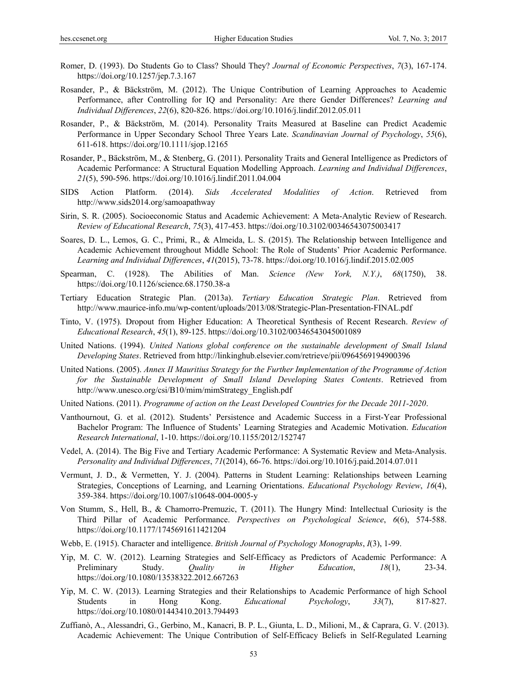- Romer, D. (1993). Do Students Go to Class? Should They? *Journal of Economic Perspectives*, *7*(3), 167-174. https://doi.org/10.1257/jep.7.3.167
- Rosander, P., & Bäckström, M. (2012). The Unique Contribution of Learning Approaches to Academic Performance, after Controlling for IQ and Personality: Are there Gender Differences? *Learning and Individual Differences*, *22*(6), 820-826. https://doi.org/10.1016/j.lindif.2012.05.011
- Rosander, P., & Bäckström, M. (2014). Personality Traits Measured at Baseline can Predict Academic Performance in Upper Secondary School Three Years Late. *Scandinavian Journal of Psychology*, *55*(6), 611-618. https://doi.org/10.1111/sjop.12165
- Rosander, P., Bäckström, M., & Stenberg, G. (2011). Personality Traits and General Intelligence as Predictors of Academic Performance: A Structural Equation Modelling Approach. *Learning and Individual Differences*, *21*(5), 590-596. https://doi.org/10.1016/j.lindif.2011.04.004
- SIDS Action Platform. (2014). *Sids Accelerated Modalities of Action*. Retrieved from http://www.sids2014.org/samoapathway
- Sirin, S. R. (2005). Socioeconomic Status and Academic Achievement: A Meta-Analytic Review of Research. *Review of Educational Research*, *75*(3), 417-453. https://doi.org/10.3102/00346543075003417
- Soares, D. L., Lemos, G. C., Primi, R., & Almeida, L. S. (2015). The Relationship between Intelligence and Academic Achievement throughout Middle School: The Role of Students' Prior Academic Performance. *Learning and Individual Differences*, *41*(2015), 73-78. https://doi.org/10.1016/j.lindif.2015.02.005
- Spearman, C. (1928). The Abilities of Man. *Science (New York, N.Y.)*, *68*(1750), 38. https://doi.org/10.1126/science.68.1750.38-a
- Tertiary Education Strategic Plan. (2013a). *Tertiary Education Strategic Plan*. Retrieved from http://www.maurice-info.mu/wp-content/uploads/2013/08/Strategic-Plan-Presentation-FINAL.pdf
- Tinto, V. (1975). Dropout from Higher Education: A Theoretical Synthesis of Recent Research. *Review of Educational Research*, *45*(1), 89-125. https://doi.org/10.3102/00346543045001089
- United Nations. (1994). *United Nations global conference on the sustainable development of Small Island Developing States*. Retrieved from http://linkinghub.elsevier.com/retrieve/pii/0964569194900396
- United Nations. (2005). *Annex II Mauritius Strategy for the Further Implementation of the Programme of Action for the Sustainable Development of Small Island Developing States Contents*. Retrieved from http://www.unesco.org/csi/B10/mim/mimStrategy\_English.pdf
- United Nations. (2011). *Programme of action on the Least Developed Countries for the Decade 2011-2020*.
- Vanthournout, G. et al. (2012). Students' Persistence and Academic Success in a First-Year Professional Bachelor Program: The Influence of Students' Learning Strategies and Academic Motivation. *Education Research International*, 1-10. https://doi.org/10.1155/2012/152747
- Vedel, A. (2014). The Big Five and Tertiary Academic Performance: A Systematic Review and Meta-Analysis. *Personality and Individual Differences*, *71*(2014), 66-76. https://doi.org/10.1016/j.paid.2014.07.011
- Vermunt, J. D., & Vermetten, Y. J. (2004). Patterns in Student Learning: Relationships between Learning Strategies, Conceptions of Learning, and Learning Orientations. *Educational Psychology Review*, *16*(4), 359-384. https://doi.org/10.1007/s10648-004-0005-y
- Von Stumm, S., Hell, B., & Chamorro-Premuzic, T. (2011). The Hungry Mind: Intellectual Curiosity is the Third Pillar of Academic Performance. *Perspectives on Psychological Science*, *6*(6), 574-588. https://doi.org/10.1177/1745691611421204
- Webb, E. (1915). Character and intelligence. *British Journal of Psychology Monographs*, *I*(3), 1-99.
- Yip, M. C. W. (2012). Learning Strategies and Self-Efficacy as Predictors of Academic Performance: A Preliminary Study. *Quality in Higher Education*, *18*(1), 23-34. https://doi.org/10.1080/13538322.2012.667263
- Yip, M. C. W. (2013). Learning Strategies and their Relationships to Academic Performance of high School Students in Hong Kong. *Educational Psychology*, *33*(7), 817-827. https://doi.org/10.1080/01443410.2013.794493
- Zuffianò, A., Alessandri, G., Gerbino, M., Kanacri, B. P. L., Giunta, L. D., Milioni, M., & Caprara, G. V. (2013). Academic Achievement: The Unique Contribution of Self-Efficacy Beliefs in Self-Regulated Learning